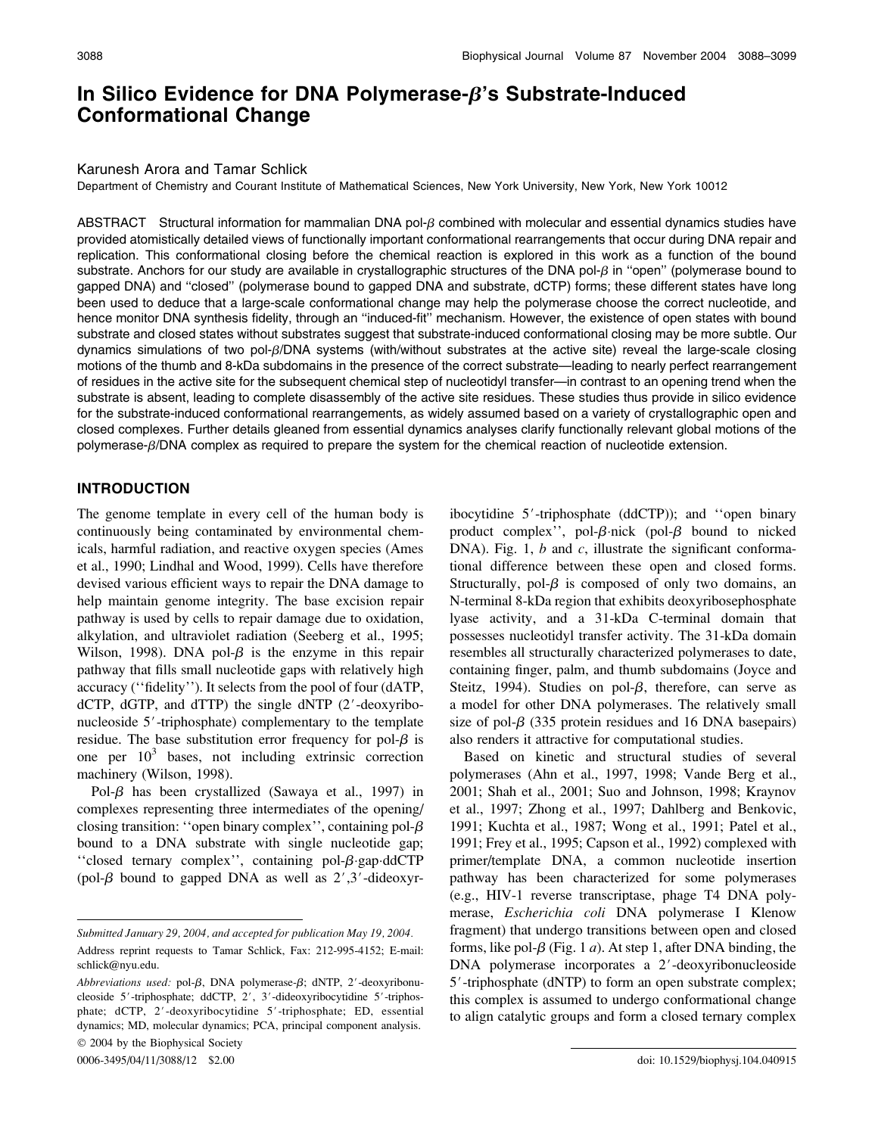# In Silico Evidence for DNA Polymerase- $\beta$ 's Substrate-Induced Conformational Change

#### Karunesh Arora and Tamar Schlick

Department of Chemistry and Courant Institute of Mathematical Sciences, New York University, New York, New York 10012

ABSTRACT Structural information for mammalian DNA pol- $\beta$  combined with molecular and essential dynamics studies have provided atomistically detailed views of functionally important conformational rearrangements that occur during DNA repair and replication. This conformational closing before the chemical reaction is explored in this work as a function of the bound substrate. Anchors for our study are available in crystallographic structures of the DNA pol- $\beta$  in "open" (polymerase bound to gapped DNA) and ''closed'' (polymerase bound to gapped DNA and substrate, dCTP) forms; these different states have long been used to deduce that a large-scale conformational change may help the polymerase choose the correct nucleotide, and hence monitor DNA synthesis fidelity, through an ''induced-fit'' mechanism. However, the existence of open states with bound substrate and closed states without substrates suggest that substrate-induced conformational closing may be more subtle. Our dynamics simulations of two pol-b/DNA systems (with/without substrates at the active site) reveal the large-scale closing motions of the thumb and 8-kDa subdomains in the presence of the correct substrate—leading to nearly perfect rearrangement of residues in the active site for the subsequent chemical step of nucleotidyl transfer—in contrast to an opening trend when the substrate is absent, leading to complete disassembly of the active site residues. These studies thus provide in silico evidence for the substrate-induced conformational rearrangements, as widely assumed based on a variety of crystallographic open and closed complexes. Further details gleaned from essential dynamics analyses clarify functionally relevant global motions of the polymerase- $\beta$ /DNA complex as required to prepare the system for the chemical reaction of nucleotide extension.

## INTRODUCTION

The genome template in every cell of the human body is continuously being contaminated by environmental chemicals, harmful radiation, and reactive oxygen species (Ames et al., 1990; Lindhal and Wood, 1999). Cells have therefore devised various efficient ways to repair the DNA damage to help maintain genome integrity. The base excision repair pathway is used by cells to repair damage due to oxidation, alkylation, and ultraviolet radiation (Seeberg et al., 1995; Wilson, 1998). DNA pol- $\beta$  is the enzyme in this repair pathway that fills small nucleotide gaps with relatively high accuracy (''fidelity''). It selects from the pool of four (dATP,  $dCTP$ ,  $dGTP$ , and  $dTTP$ ) the single  $dNTP$  (2'-deoxyribonucleoside  $5'$ -triphosphate) complementary to the template residue. The base substitution error frequency for pol- $\beta$  is one per  $10<sup>3</sup>$  bases, not including extrinsic correction machinery (Wilson, 1998).

Pol- $\beta$  has been crystallized (Sawaya et al., 1997) in complexes representing three intermediates of the opening/ closing transition: "open binary complex", containing pol- $\beta$ bound to a DNA substrate with single nucleotide gap; "closed ternary complex", containing pol- $\beta$ -gap-ddCTP (pol- $\beta$  bound to gapped DNA as well as 2',3'-dideoxyr-

ibocytidine  $5'$ -triphosphate (ddCTP)); and "open binary product complex'', pol- $\beta$ -nick (pol- $\beta$  bound to nicked DNA). Fig. 1,  $b$  and  $c$ , illustrate the significant conformational difference between these open and closed forms. Structurally, pol- $\beta$  is composed of only two domains, an N-terminal 8-kDa region that exhibits deoxyribosephosphate lyase activity, and a 31-kDa C-terminal domain that possesses nucleotidyl transfer activity. The 31-kDa domain resembles all structurally characterized polymerases to date, containing finger, palm, and thumb subdomains (Joyce and Steitz, 1994). Studies on pol- $\beta$ , therefore, can serve as a model for other DNA polymerases. The relatively small size of pol- $\beta$  (335 protein residues and 16 DNA basepairs) also renders it attractive for computational studies.

Based on kinetic and structural studies of several polymerases (Ahn et al., 1997, 1998; Vande Berg et al., 2001; Shah et al., 2001; Suo and Johnson, 1998; Kraynov et al., 1997; Zhong et al., 1997; Dahlberg and Benkovic, 1991; Kuchta et al., 1987; Wong et al., 1991; Patel et al., 1991; Frey et al., 1995; Capson et al., 1992) complexed with primer/template DNA, a common nucleotide insertion pathway has been characterized for some polymerases (e.g., HIV-1 reverse transcriptase, phage T4 DNA polymerase, Escherichia coli DNA polymerase I Klenow fragment) that undergo transitions between open and closed forms, like pol- $\beta$  (Fig. 1 *a*). At step 1, after DNA binding, the  $DNA$  polymerase incorporates a  $2'$ -deoxyribonucleoside 5'-triphosphate (dNTP) to form an open substrate complex; this complex is assumed to undergo conformational change to align catalytic groups and form a closed ternary complex

Submitted January 29, 2004, and accepted for publication May 19, 2004.

Address reprint requests to Tamar Schlick, Fax: 212-995-4152; E-mail: schlick@nyu.edu.

Abbreviations used: pol- $\beta$ , DNA polymerase- $\beta$ ; dNTP, 2'-deoxyribonucleoside 5'-triphosphate; ddCTP, 2', 3'-dideoxyribocytidine 5'-triphosphate; dCTP, 2'-deoxyribocytidine 5'-triphosphate; ED, essential dynamics; MD, molecular dynamics; PCA, principal component analysis. 2004 by the Biophysical Society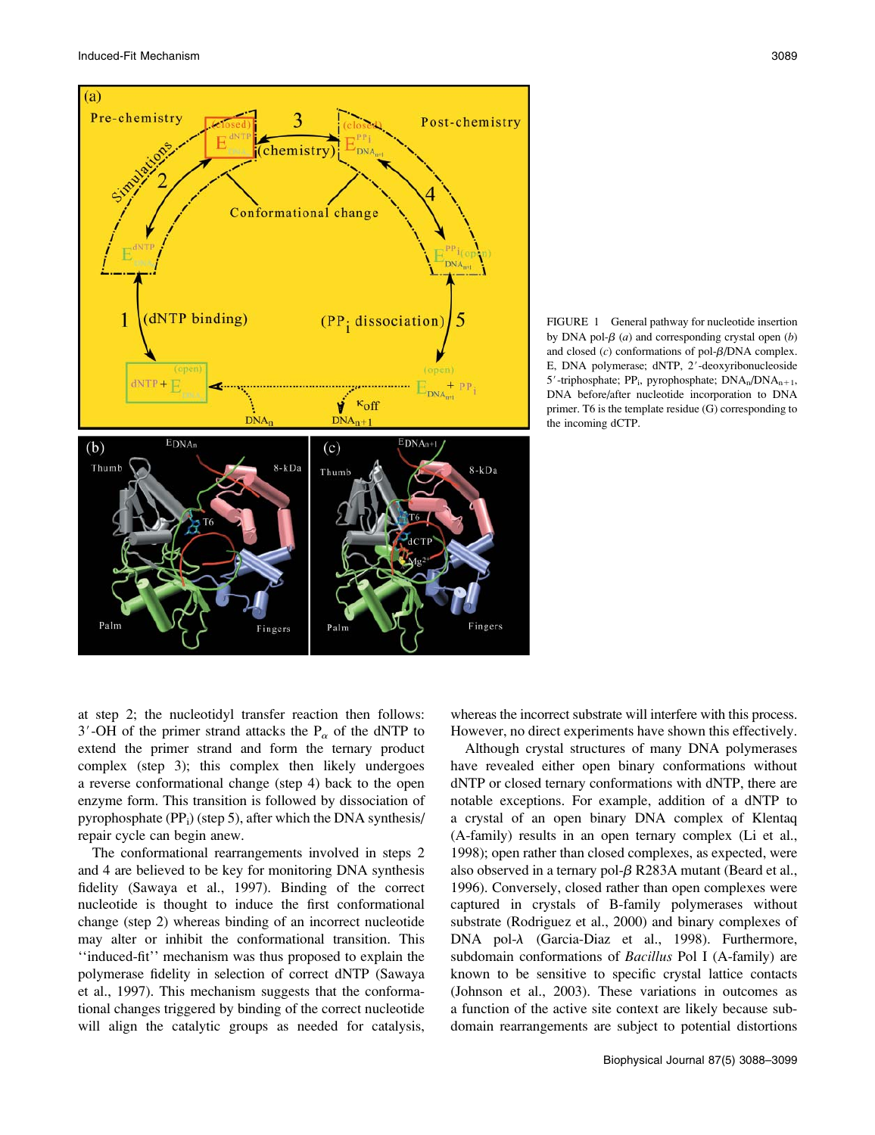



FIGURE 1 General pathway for nucleotide insertion by DNA pol- $\beta$  (*a*) and corresponding crystal open (*b*) and closed  $(c)$  conformations of pol- $\beta$ /DNA complex. E, DNA polymerase; dNTP, 2'-deoxyribonucleoside 5'-triphosphate; PP<sub>i</sub>, pyrophosphate;  $DNA_n/DNA_{n+1}$ , DNA before/after nucleotide incorporation to DNA primer. T6 is the template residue (G) corresponding to the incoming dCTP.

at step 2; the nucleotidyl transfer reaction then follows: 3'-OH of the primer strand attacks the  $P_\alpha$  of the dNTP to extend the primer strand and form the ternary product complex (step 3); this complex then likely undergoes a reverse conformational change (step 4) back to the open enzyme form. This transition is followed by dissociation of pyrophosphate  $(PP_i)$  (step 5), after which the DNA synthesis/ repair cycle can begin anew.

The conformational rearrangements involved in steps 2 and 4 are believed to be key for monitoring DNA synthesis fidelity (Sawaya et al., 1997). Binding of the correct nucleotide is thought to induce the first conformational change (step 2) whereas binding of an incorrect nucleotide may alter or inhibit the conformational transition. This ''induced-fit'' mechanism was thus proposed to explain the polymerase fidelity in selection of correct dNTP (Sawaya et al., 1997). This mechanism suggests that the conformational changes triggered by binding of the correct nucleotide will align the catalytic groups as needed for catalysis,

whereas the incorrect substrate will interfere with this process. However, no direct experiments have shown this effectively.

Although crystal structures of many DNA polymerases have revealed either open binary conformations without dNTP or closed ternary conformations with dNTP, there are notable exceptions. For example, addition of a dNTP to a crystal of an open binary DNA complex of Klentaq (A-family) results in an open ternary complex (Li et al., 1998); open rather than closed complexes, as expected, were also observed in a ternary pol- $\beta$  R283A mutant (Beard et al., 1996). Conversely, closed rather than open complexes were captured in crystals of B-family polymerases without substrate (Rodriguez et al., 2000) and binary complexes of DNA pol- $\lambda$  (Garcia-Diaz et al., 1998). Furthermore, subdomain conformations of *Bacillus* Pol I (A-family) are known to be sensitive to specific crystal lattice contacts (Johnson et al., 2003). These variations in outcomes as a function of the active site context are likely because subdomain rearrangements are subject to potential distortions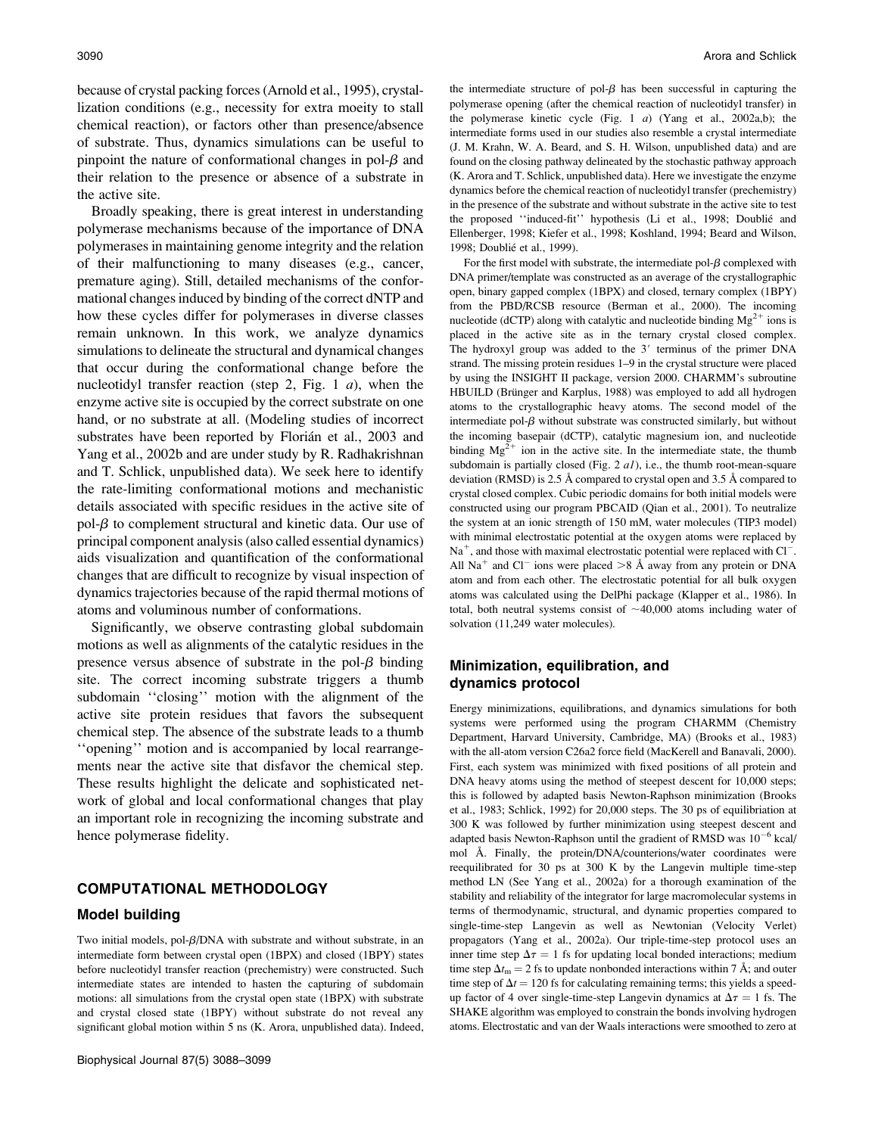because of crystal packing forces (Arnold et al., 1995), crystallization conditions (e.g., necessity for extra moeity to stall chemical reaction), or factors other than presence/absence of substrate. Thus, dynamics simulations can be useful to pinpoint the nature of conformational changes in pol- $\beta$  and their relation to the presence or absence of a substrate in the active site.

Broadly speaking, there is great interest in understanding polymerase mechanisms because of the importance of DNA polymerases in maintaining genome integrity and the relation of their malfunctioning to many diseases (e.g., cancer, premature aging). Still, detailed mechanisms of the conformational changes induced by binding of the correct dNTP and how these cycles differ for polymerases in diverse classes remain unknown. In this work, we analyze dynamics simulations to delineate the structural and dynamical changes that occur during the conformational change before the nucleotidyl transfer reaction (step 2, Fig. 1  $a$ ), when the enzyme active site is occupied by the correct substrate on one hand, or no substrate at all. (Modeling studies of incorrect substrates have been reported by Florián et al., 2003 and Yang et al., 2002b and are under study by R. Radhakrishnan and T. Schlick, unpublished data). We seek here to identify the rate-limiting conformational motions and mechanistic details associated with specific residues in the active site of pol- $\beta$  to complement structural and kinetic data. Our use of principal component analysis (also called essential dynamics) aids visualization and quantification of the conformational changes that are difficult to recognize by visual inspection of dynamics trajectories because of the rapid thermal motions of atoms and voluminous number of conformations.

Significantly, we observe contrasting global subdomain motions as well as alignments of the catalytic residues in the presence versus absence of substrate in the pol- $\beta$  binding site. The correct incoming substrate triggers a thumb subdomain ''closing'' motion with the alignment of the active site protein residues that favors the subsequent chemical step. The absence of the substrate leads to a thumb ''opening'' motion and is accompanied by local rearrangements near the active site that disfavor the chemical step. These results highlight the delicate and sophisticated network of global and local conformational changes that play an important role in recognizing the incoming substrate and hence polymerase fidelity.

## COMPUTATIONAL METHODOLOGY

#### Model building

Two initial models, pol- $\beta$ /DNA with substrate and without substrate, in an intermediate form between crystal open (1BPX) and closed (1BPY) states before nucleotidyl transfer reaction (prechemistry) were constructed. Such intermediate states are intended to hasten the capturing of subdomain motions: all simulations from the crystal open state (1BPX) with substrate and crystal closed state (1BPY) without substrate do not reveal any significant global motion within 5 ns (K. Arora, unpublished data). Indeed, the intermediate structure of pol- $\beta$  has been successful in capturing the polymerase opening (after the chemical reaction of nucleotidyl transfer) in the polymerase kinetic cycle (Fig. 1  $a$ ) (Yang et al., 2002a,b); the intermediate forms used in our studies also resemble a crystal intermediate (J. M. Krahn, W. A. Beard, and S. H. Wilson, unpublished data) and are found on the closing pathway delineated by the stochastic pathway approach (K. Arora and T. Schlick, unpublished data). Here we investigate the enzyme dynamics before the chemical reaction of nucleotidyl transfer (prechemistry) in the presence of the substrate and without substrate in the active site to test the proposed "induced-fit" hypothesis (Li et al., 1998; Doublié and Ellenberger, 1998; Kiefer et al., 1998; Koshland, 1994; Beard and Wilson, 1998; Doublié et al., 1999).

For the first model with substrate, the intermediate pol- $\beta$  complexed with DNA primer/template was constructed as an average of the crystallographic open, binary gapped complex (1BPX) and closed, ternary complex (1BPY) from the PBD/RCSB resource (Berman et al., 2000). The incoming nucleotide (dCTP) along with catalytic and nucleotide binding  $Mg^{2+}$  ions is placed in the active site as in the ternary crystal closed complex. The hydroxyl group was added to the  $3'$  terminus of the primer DNA strand. The missing protein residues 1–9 in the crystal structure were placed by using the INSIGHT II package, version 2000. CHARMM's subroutine HBUILD (Brünger and Karplus, 1988) was employed to add all hydrogen atoms to the crystallographic heavy atoms. The second model of the intermediate pol- $\beta$  without substrate was constructed similarly, but without the incoming basepair (dCTP), catalytic magnesium ion, and nucleotide binding  $Mg^{2+}$  ion in the active site. In the intermediate state, the thumb subdomain is partially closed (Fig.  $2$   $aI$ ), i.e., the thumb root-mean-square deviation (RMSD) is 2.5 Å compared to crystal open and 3.5 Å compared to crystal closed complex. Cubic periodic domains for both initial models were constructed using our program PBCAID (Qian et al., 2001). To neutralize the system at an ionic strength of 150 mM, water molecules (TIP3 model) with minimal electrostatic potential at the oxygen atoms were replaced by  $Na<sup>+</sup>$ , and those with maximal electrostatic potential were replaced with Cl<sup>-</sup>. All Na<sup>+</sup> and Cl<sup>-</sup> ions were placed  $>8$  Å away from any protein or DNA atom and from each other. The electrostatic potential for all bulk oxygen atoms was calculated using the DelPhi package (Klapper et al., 1986). In total, both neutral systems consist of  $\sim$ 40,000 atoms including water of solvation (11,249 water molecules).

# Minimization, equilibration, and dynamics protocol

Energy minimizations, equilibrations, and dynamics simulations for both systems were performed using the program CHARMM (Chemistry Department, Harvard University, Cambridge, MA) (Brooks et al., 1983) with the all-atom version C26a2 force field (MacKerell and Banavali, 2000). First, each system was minimized with fixed positions of all protein and DNA heavy atoms using the method of steepest descent for 10,000 steps; this is followed by adapted basis Newton-Raphson minimization (Brooks et al., 1983; Schlick, 1992) for 20,000 steps. The 30 ps of equilibriation at 300 K was followed by further minimization using steepest descent and adapted basis Newton-Raphson until the gradient of RMSD was  $10^{-6}$  kcal/ mol Å. Finally, the protein/DNA/counterions/water coordinates were reequilibrated for 30 ps at 300 K by the Langevin multiple time-step method LN (See Yang et al., 2002a) for a thorough examination of the stability and reliability of the integrator for large macromolecular systems in terms of thermodynamic, structural, and dynamic properties compared to single-time-step Langevin as well as Newtonian (Velocity Verlet) propagators (Yang et al., 2002a). Our triple-time-step protocol uses an inner time step  $\Delta \tau = 1$  fs for updating local bonded interactions; medium time step  $\Delta t_m = 2$  fs to update nonbonded interactions within 7 Å; and outer time step of  $\Delta t = 120$  fs for calculating remaining terms; this yields a speedup factor of 4 over single-time-step Langevin dynamics at  $\Delta \tau = 1$  fs. The SHAKE algorithm was employed to constrain the bonds involving hydrogen atoms. Electrostatic and van der Waals interactions were smoothed to zero at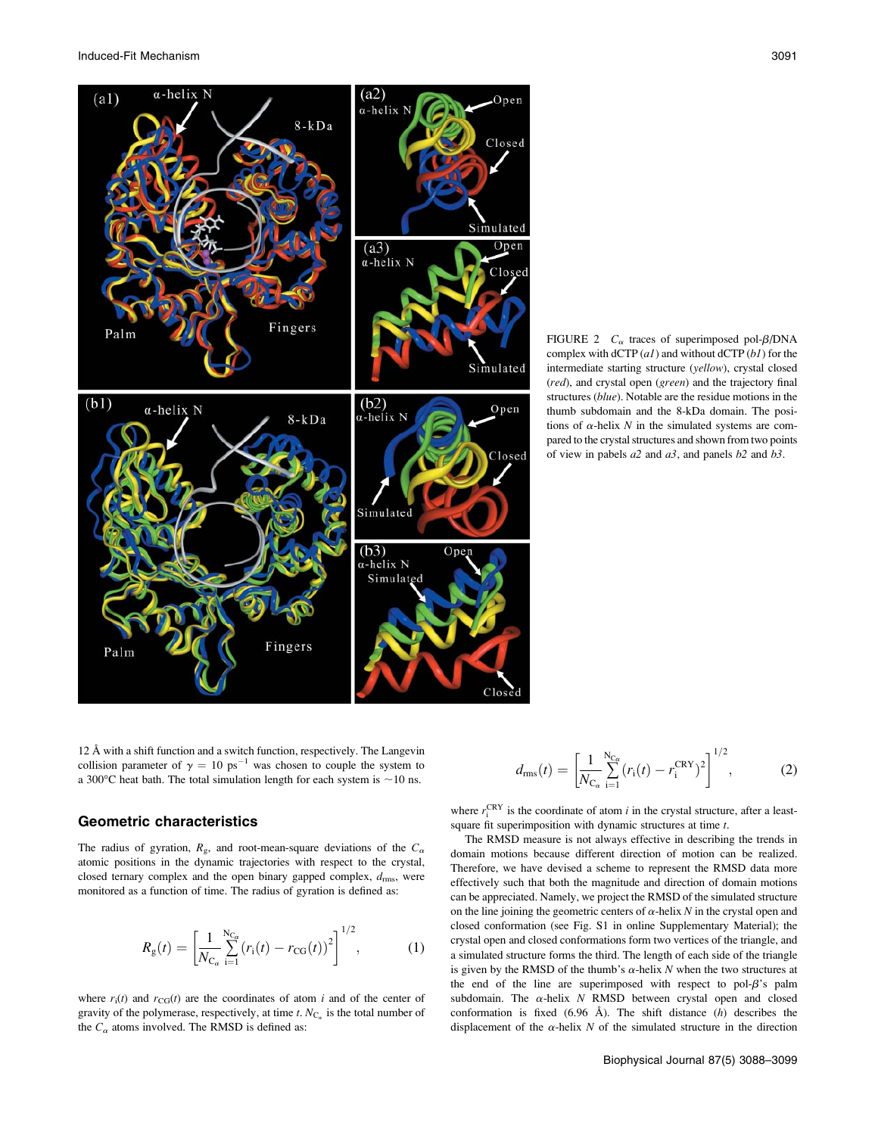Induced-Fit Mechanism 3091



FIGURE 2  $C_{\alpha}$  traces of superimposed pol- $\beta$ /DNA complex with  $dCTP (a1)$  and without  $dCTP (b1)$  for the intermediate starting structure (yellow), crystal closed (red), and crystal open (green) and the trajectory final structures (blue). Notable are the residue motions in the thumb subdomain and the 8-kDa domain. The positions of  $\alpha$ -helix N in the simulated systems are compared to the crystal structures and shown from two points of view in pabels  $a2$  and  $a3$ , and panels  $b2$  and  $b3$ .

12 Å with a shift function and a switch function, respectively. The Langevin collision parameter of  $\gamma = 10 \text{ ps}^{-1}$  was chosen to couple the system to a 300 $^{\circ}$ C heat bath. The total simulation length for each system is  $\sim$ 10 ns.

## Geometric characteristics

The radius of gyration,  $R_g$ , and root-mean-square deviations of the  $C_\alpha$ atomic positions in the dynamic trajectories with respect to the crystal, closed ternary complex and the open binary gapped complex,  $d_{\text{rms}}$ , were monitored as a function of time. The radius of gyration is defined as:

$$
R_{\rm g}(t) = \left[\frac{1}{N_{\rm C_{\alpha}}} \sum_{i=1}^{N_{\rm C_{\alpha}}} (r_i(t) - r_{\rm CG}(t))^2\right]^{1/2},\tag{1}
$$

where  $r_i(t)$  and  $r_{CG}(t)$  are the coordinates of atom i and of the center of gravity of the polymerase, respectively, at time t.  $N_{C_{\alpha}}$  is the total number of the  $C_{\alpha}$  atoms involved. The RMSD is defined as:

$$
d_{\rm rms}(t) = \left[\frac{1}{N_{\rm C_{\alpha}}} \sum_{i=1}^{N_{\rm C_{\alpha}}} (r_i(t) - r_i^{\rm CRY})^2\right]^{1/2},\tag{2}
$$

where  $r_i^{\text{CRY}}$  is the coordinate of atom i in the crystal structure, after a leastsquare fit superimposition with dynamic structures at time t.

The RMSD measure is not always effective in describing the trends in domain motions because different direction of motion can be realized. Therefore, we have devised a scheme to represent the RMSD data more effectively such that both the magnitude and direction of domain motions can be appreciated. Namely, we project the RMSD of the simulated structure on the line joining the geometric centers of  $\alpha$ -helix N in the crystal open and closed conformation (see Fig. S1 in online Supplementary Material); the crystal open and closed conformations form two vertices of the triangle, and a simulated structure forms the third. The length of each side of the triangle is given by the RMSD of the thumb's  $\alpha$ -helix N when the two structures at the end of the line are superimposed with respect to pol- $\beta$ 's palm subdomain. The  $\alpha$ -helix N RMSD between crystal open and closed conformation is fixed  $(6.96 \text{ Å})$ . The shift distance  $(h)$  describes the displacement of the  $\alpha$ -helix N of the simulated structure in the direction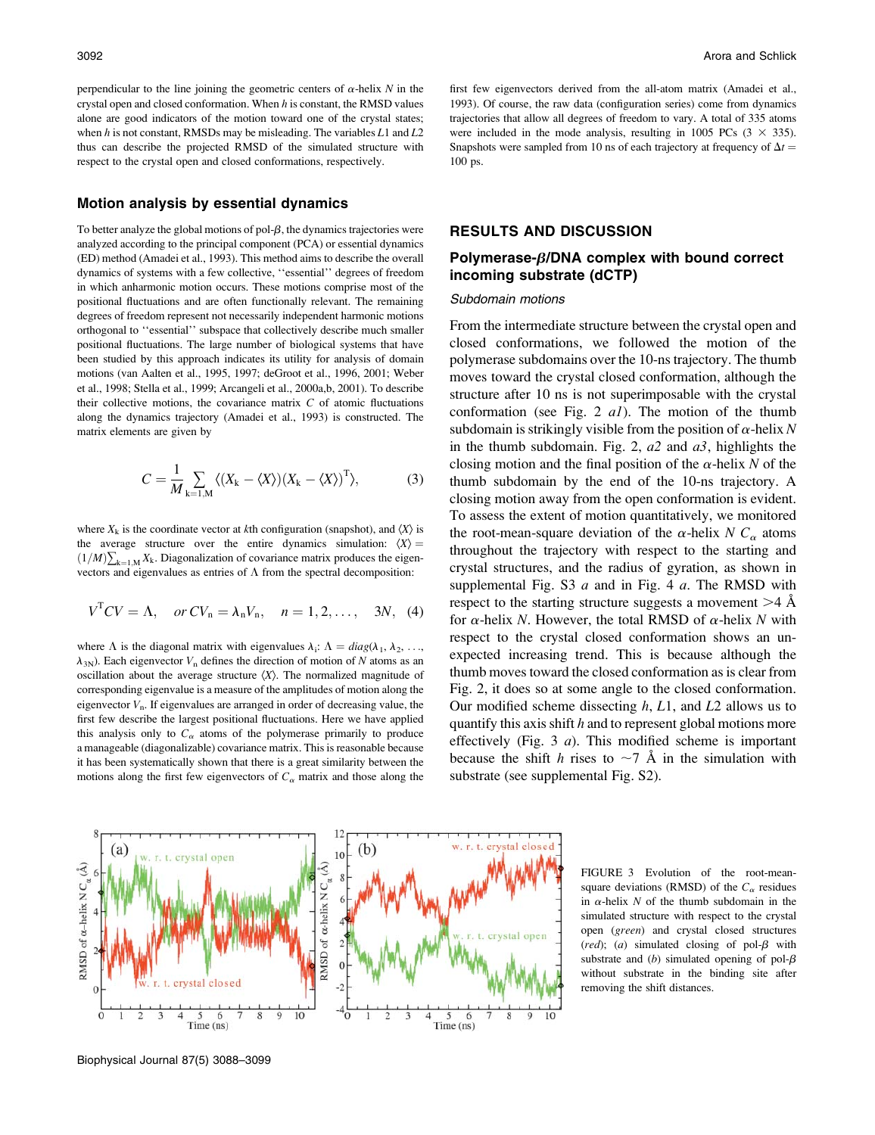perpendicular to the line joining the geometric centers of  $\alpha$ -helix N in the crystal open and closed conformation. When  $h$  is constant, the RMSD values alone are good indicators of the motion toward one of the crystal states; when  $h$  is not constant, RMSDs may be misleading. The variables  $L1$  and  $L2$ thus can describe the projected RMSD of the simulated structure with respect to the crystal open and closed conformations, respectively.

#### Motion analysis by essential dynamics

To better analyze the global motions of pol- $\beta$ , the dynamics trajectories were analyzed according to the principal component (PCA) or essential dynamics (ED) method (Amadei et al., 1993). This method aims to describe the overall dynamics of systems with a few collective, ''essential'' degrees of freedom in which anharmonic motion occurs. These motions comprise most of the positional fluctuations and are often functionally relevant. The remaining degrees of freedom represent not necessarily independent harmonic motions orthogonal to ''essential'' subspace that collectively describe much smaller positional fluctuations. The large number of biological systems that have been studied by this approach indicates its utility for analysis of domain motions (van Aalten et al., 1995, 1997; deGroot et al., 1996, 2001; Weber et al., 1998; Stella et al., 1999; Arcangeli et al., 2000a,b, 2001). To describe their collective motions, the covariance matrix  $C$  of atomic fluctuations along the dynamics trajectory (Amadei et al., 1993) is constructed. The matrix elements are given by

$$
C = \frac{1}{M} \sum_{k=1,M} \langle (X_k - \langle X \rangle)(X_k - \langle X \rangle)^T \rangle, \tag{3}
$$

where  $X_k$  is the coordinate vector at kth configuration (snapshot), and  $\langle X \rangle$  is the average structure over the entire dynamics simulation:  $\langle X \rangle$  =  $(1/M)\sum_{k=1,M} X_k$ . Diagonalization of covariance matrix produces the eigenvectors and eigenvalues as entries of  $\Lambda$  from the spectral decomposition:

$$
VTCV = \Lambda, \quad or CVn = \lambda_n V_n, \quad n = 1, 2, ..., \quad 3N, \quad (4)
$$

where  $\Lambda$  is the diagonal matrix with eigenvalues  $\lambda_i: \Lambda = diag(\lambda_1, \lambda_2, \ldots, \lambda_n)$  $\lambda_{3N}$ ). Each eigenvector  $V_n$  defines the direction of motion of N atoms as an oscillation about the average structure  $\langle X \rangle$ . The normalized magnitude of corresponding eigenvalue is a measure of the amplitudes of motion along the eigenvector  $V_n$ . If eigenvalues are arranged in order of decreasing value, the first few describe the largest positional fluctuations. Here we have applied this analysis only to  $C_{\alpha}$  atoms of the polymerase primarily to produce a manageable (diagonalizable) covariance matrix. This is reasonable because it has been systematically shown that there is a great similarity between the motions along the first few eigenvectors of  $C_{\alpha}$  matrix and those along the first few eigenvectors derived from the all-atom matrix (Amadei et al., 1993). Of course, the raw data (configuration series) come from dynamics trajectories that allow all degrees of freedom to vary. A total of 335 atoms were included in the mode analysis, resulting in 1005 PCs  $(3 \times 335)$ . Snapshots were sampled from 10 ns of each trajectory at frequency of  $\Delta t =$ 100 ps.

# RESULTS AND DISCUSSION

# Polymerase- $\beta$ /DNA complex with bound correct incoming substrate (dCTP)

#### Subdomain motions

From the intermediate structure between the crystal open and closed conformations, we followed the motion of the polymerase subdomains over the 10-ns trajectory. The thumb moves toward the crystal closed conformation, although the structure after 10 ns is not superimposable with the crystal conformation (see Fig. 2  $aI$ ). The motion of the thumb subdomain is strikingly visible from the position of  $\alpha$ -helix N in the thumb subdomain. Fig. 2,  $a2$  and  $a3$ , highlights the closing motion and the final position of the  $\alpha$ -helix N of the thumb subdomain by the end of the 10-ns trajectory. A closing motion away from the open conformation is evident. To assess the extent of motion quantitatively, we monitored the root-mean-square deviation of the  $\alpha$ -helix N  $C_{\alpha}$  atoms throughout the trajectory with respect to the starting and crystal structures, and the radius of gyration, as shown in supplemental Fig. S3  $a$  and in Fig. 4  $a$ . The RMSD with respect to the starting structure suggests a movement  $>4$  Å for  $\alpha$ -helix N. However, the total RMSD of  $\alpha$ -helix N with respect to the crystal closed conformation shows an unexpected increasing trend. This is because although the thumb moves toward the closed conformation as is clear from Fig. 2, it does so at some angle to the closed conformation. Our modified scheme dissecting  $h$ ,  $L1$ , and  $L2$  allows us to quantify this axis shift  $h$  and to represent global motions more effectively (Fig. 3  $a$ ). This modified scheme is important because the shift h rises to  $\sim$ 7 Å in the simulation with substrate (see supplemental Fig. S2).



Biophysical Journal 87(5) 3088–3099

FIGURE 3 Evolution of the root-meansquare deviations (RMSD) of the  $C_{\alpha}$  residues in  $\alpha$ -helix N of the thumb subdomain in the simulated structure with respect to the crystal open (green) and crystal closed structures (red); (a) simulated closing of pol- $\beta$  with substrate and (b) simulated opening of pol- $\beta$ without substrate in the binding site after removing the shift distances.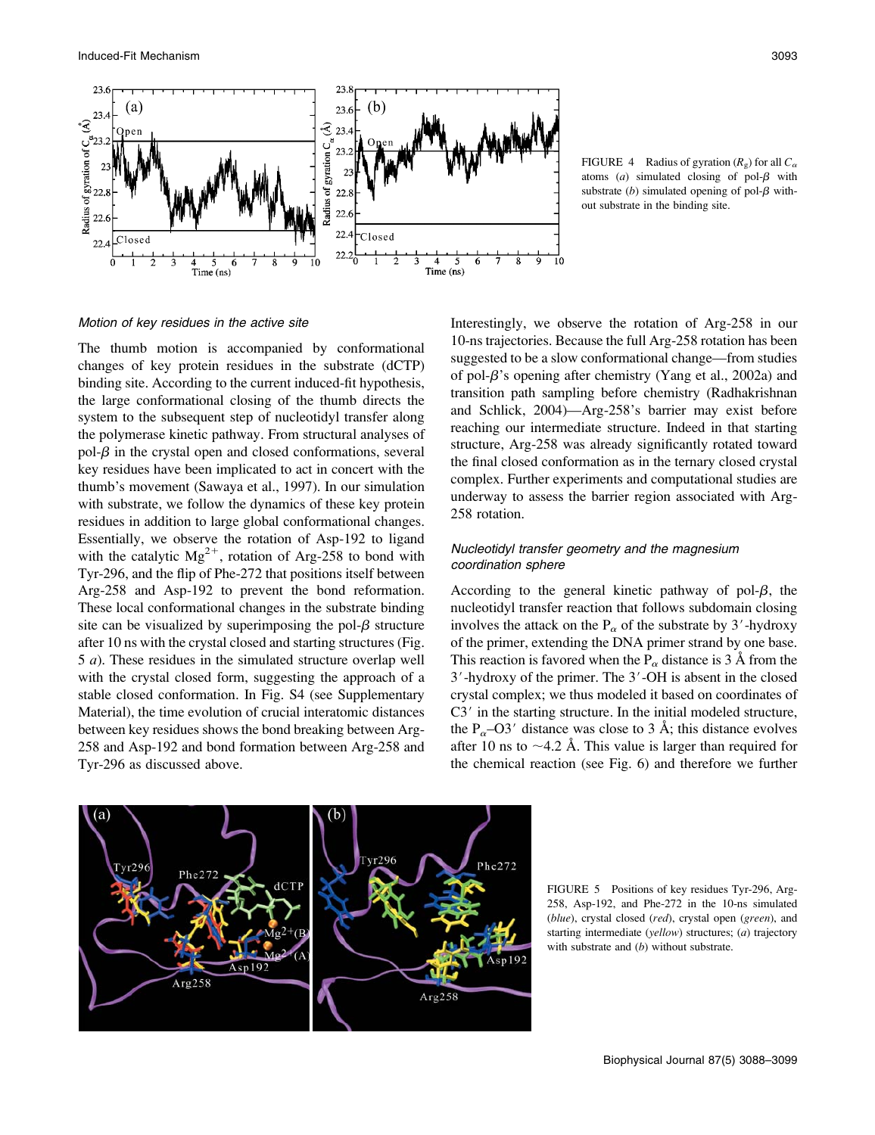

FIGURE 4 Radius of gyration  $(R_{\varphi})$  for all  $C_{\alpha}$ atoms  $(a)$  simulated closing of pol- $\beta$  with substrate (b) simulated opening of pol- $\beta$  without substrate in the binding site.

Motion of key residues in the active site

The thumb motion is accompanied by conformational changes of key protein residues in the substrate (dCTP) binding site. According to the current induced-fit hypothesis, the large conformational closing of the thumb directs the system to the subsequent step of nucleotidyl transfer along the polymerase kinetic pathway. From structural analyses of  $pol- $\beta$  in the crystal open and closed conformations, several$ key residues have been implicated to act in concert with the thumb's movement (Sawaya et al., 1997). In our simulation with substrate, we follow the dynamics of these key protein residues in addition to large global conformational changes. Essentially, we observe the rotation of Asp-192 to ligand with the catalytic  $Mg^{2+}$ , rotation of Arg-258 to bond with Tyr-296, and the flip of Phe-272 that positions itself between Arg-258 and Asp-192 to prevent the bond reformation. These local conformational changes in the substrate binding site can be visualized by superimposing the pol- $\beta$  structure after 10 ns with the crystal closed and starting structures (Fig. 5 a). These residues in the simulated structure overlap well with the crystal closed form, suggesting the approach of a stable closed conformation. In Fig. S4 (see Supplementary Material), the time evolution of crucial interatomic distances between key residues shows the bond breaking between Arg-258 and Asp-192 and bond formation between Arg-258 and Tyr-296 as discussed above.

Interestingly, we observe the rotation of Arg-258 in our 10-ns trajectories. Because the full Arg-258 rotation has been suggested to be a slow conformational change—from studies of pol- $\beta$ 's opening after chemistry (Yang et al., 2002a) and transition path sampling before chemistry (Radhakrishnan and Schlick, 2004)—Arg-258's barrier may exist before reaching our intermediate structure. Indeed in that starting structure, Arg-258 was already significantly rotated toward the final closed conformation as in the ternary closed crystal complex. Further experiments and computational studies are underway to assess the barrier region associated with Arg-258 rotation.

## Nucleotidyl transfer geometry and the magnesium coordination sphere

According to the general kinetic pathway of pol- $\beta$ , the nucleotidyl transfer reaction that follows subdomain closing involves the attack on the  $P_\alpha$  of the substrate by 3'-hydroxy of the primer, extending the DNA primer strand by one base. This reaction is favored when the  $P_\alpha$  distance is 3 Å from the  $3'$ -hydroxy of the primer. The  $3'$ -OH is absent in the closed crystal complex; we thus modeled it based on coordinates of  $C3'$  in the starting structure. In the initial modeled structure, the  $P_{\alpha}$ –O3' distance was close to 3 Å; this distance evolves after 10 ns to  $\sim$ 4.2 Å. This value is larger than required for the chemical reaction (see Fig. 6) and therefore we further



FIGURE 5 Positions of key residues Tyr-296, Arg-258, Asp-192, and Phe-272 in the 10-ns simulated (blue), crystal closed (red), crystal open (green), and starting intermediate (yellow) structures; (a) trajectory with substrate and  $(b)$  without substrate.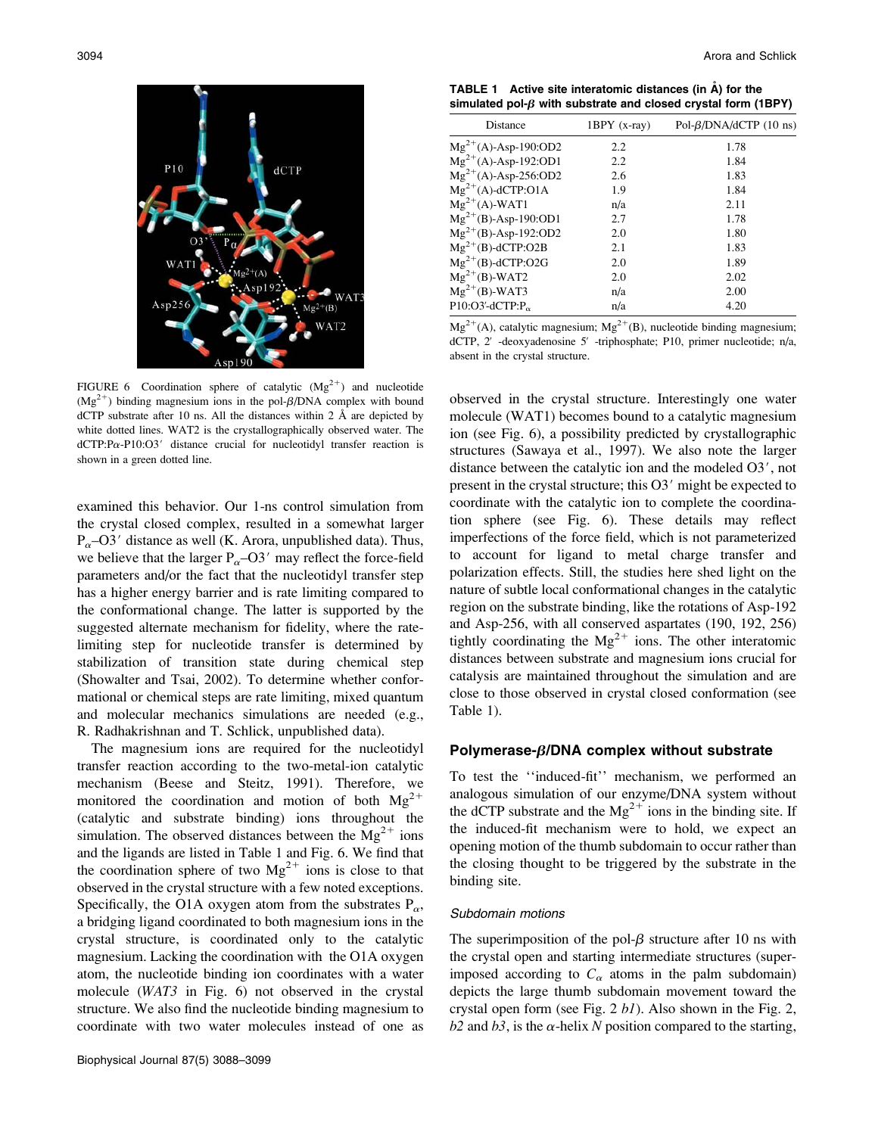

FIGURE 6 Coordination sphere of catalytic  $(Mg^{2+})$  and nucleotide  $(Mg<sup>2+</sup>)$  binding magnesium ions in the pol- $\beta$ /DNA complex with bound dCTP substrate after 10 ns. All the distances within 2  $\AA$  are depicted by white dotted lines. WAT2 is the crystallographically observed water. The  $dCTP:Pa-P10:O3'$  distance crucial for nucleotidyl transfer reaction is shown in a green dotted line.

examined this behavior. Our 1-ns control simulation from the crystal closed complex, resulted in a somewhat larger  $P_{\alpha}$ –O3' distance as well (K. Arora, unpublished data). Thus, we believe that the larger  $P_{\alpha}$ –O3' may reflect the force-field parameters and/or the fact that the nucleotidyl transfer step has a higher energy barrier and is rate limiting compared to the conformational change. The latter is supported by the suggested alternate mechanism for fidelity, where the ratelimiting step for nucleotide transfer is determined by stabilization of transition state during chemical step (Showalter and Tsai, 2002). To determine whether conformational or chemical steps are rate limiting, mixed quantum and molecular mechanics simulations are needed (e.g., R. Radhakrishnan and T. Schlick, unpublished data).

The magnesium ions are required for the nucleotidyl transfer reaction according to the two-metal-ion catalytic mechanism (Beese and Steitz, 1991). Therefore, we monitored the coordination and motion of both  $Mg^{2+}$ (catalytic and substrate binding) ions throughout the simulation. The observed distances between the  $Mg^{2+}$  ions and the ligands are listed in Table 1 and Fig. 6. We find that the coordination sphere of two  $Mg^{2+}$  ions is close to that observed in the crystal structure with a few noted exceptions. Specifically, the O1A oxygen atom from the substrates  $P_{\alpha}$ , a bridging ligand coordinated to both magnesium ions in the crystal structure, is coordinated only to the catalytic magnesium. Lacking the coordination with the O1A oxygen atom, the nucleotide binding ion coordinates with a water molecule (WAT3 in Fig. 6) not observed in the crystal structure. We also find the nucleotide binding magnesium to coordinate with two water molecules instead of one as

TABLE 1 Active site interatomic distances (in  $\mathring{A}$ ) for the simulated pol- $\beta$  with substrate and closed crystal form (1BPY)

| <b>Distance</b>                                  | $1BPY$ (x-ray) | Pol- $\beta$ /DNA/dCTP (10 ns) |
|--------------------------------------------------|----------------|--------------------------------|
| $Mg^{2+}(A)$ -Asp-190:OD2                        | 2.2            | 1.78                           |
| $Mg^{2+}(A)$ -Asp-192:OD1                        | 2.2            | 1.84                           |
| $Mg^{2+}(A)$ -Asp-256:OD2                        | 2.6            | 1.83                           |
| $Mg^{2+}(A)$ -dCTP:O1A                           | 1.9            | 1.84                           |
| $Mg^{2+}(A)$ -WAT1                               | n/a            | 2.11                           |
| $Mg^{2+}(B)$ -Asp-190:OD1                        | 2.7            | 1.78                           |
| $Mg^{2+}(B)$ -Asp-192:OD2                        | 2.0            | 1.80                           |
| $Mg^{2+}(B)$ -dCTP:O2B                           | 2.1            | 1.83                           |
| $Mg^{2+}(B)$ -dCTP:O2G                           | 2.0            | 1.89                           |
| $Mg^{2+}(B)$ -WAT2                               | 2.0            | 2.02                           |
| $Mg^{2+}(B)$ -WAT3                               | n/a            | 2.00                           |
| $P10:O3'$ -dCTP:P <sub><math>\alpha</math></sub> | n/a            | 4.20                           |

 $Mg^{2+}(A)$ , catalytic magnesium;  $Mg^{2+}(B)$ , nucleotide binding magnesium; dCTP, 2' -deoxyadenosine 5' -triphosphate; P10, primer nucleotide; n/a, absent in the crystal structure.

observed in the crystal structure. Interestingly one water molecule (WAT1) becomes bound to a catalytic magnesium ion (see Fig. 6), a possibility predicted by crystallographic structures (Sawaya et al., 1997). We also note the larger distance between the catalytic ion and the modeled  $O3'$ , not present in the crystal structure; this O3' might be expected to coordinate with the catalytic ion to complete the coordination sphere (see Fig. 6). These details may reflect imperfections of the force field, which is not parameterized to account for ligand to metal charge transfer and polarization effects. Still, the studies here shed light on the nature of subtle local conformational changes in the catalytic region on the substrate binding, like the rotations of Asp-192 and Asp-256, with all conserved aspartates (190, 192, 256) tightly coordinating the  $Mg^{2+}$  ions. The other interatomic distances between substrate and magnesium ions crucial for catalysis are maintained throughout the simulation and are close to those observed in crystal closed conformation (see Table 1).

## Polymerase- $\beta$ /DNA complex without substrate

To test the ''induced-fit'' mechanism, we performed an analogous simulation of our enzyme/DNA system without the dCTP substrate and the  $Mg^{2+}$  ions in the binding site. If the induced-fit mechanism were to hold, we expect an opening motion of the thumb subdomain to occur rather than the closing thought to be triggered by the substrate in the binding site.

#### Subdomain motions

The superimposition of the pol- $\beta$  structure after 10 ns with the crystal open and starting intermediate structures (superimposed according to  $C_{\alpha}$  atoms in the palm subdomain) depicts the large thumb subdomain movement toward the crystal open form (see Fig.  $2 bl$ ). Also shown in the Fig. 2,  $b2$  and  $b3$ , is the  $\alpha$ -helix N position compared to the starting,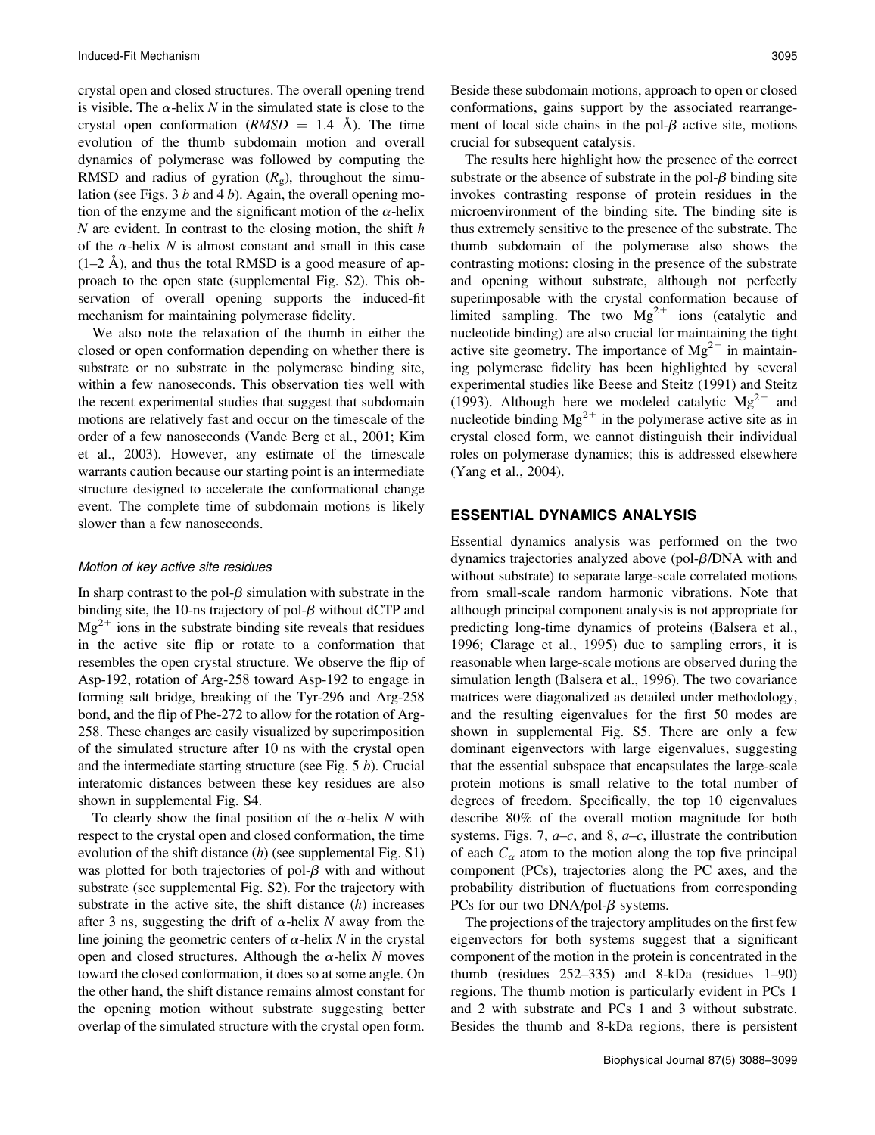crystal open and closed structures. The overall opening trend is visible. The  $\alpha$ -helix N in the simulated state is close to the crystal open conformation  $(RMSD = 1.4 \text{ Å})$ . The time evolution of the thumb subdomain motion and overall dynamics of polymerase was followed by computing the RMSD and radius of gyration  $(R<sub>g</sub>)$ , throughout the simulation (see Figs. 3  $b$  and 4  $b$ ). Again, the overall opening motion of the enzyme and the significant motion of the  $\alpha$ -helix  $N$  are evident. In contrast to the closing motion, the shift  $h$ of the  $\alpha$ -helix N is almost constant and small in this case  $(1–2 \text{ Å})$ , and thus the total RMSD is a good measure of approach to the open state (supplemental Fig. S2). This observation of overall opening supports the induced-fit mechanism for maintaining polymerase fidelity.

We also note the relaxation of the thumb in either the closed or open conformation depending on whether there is substrate or no substrate in the polymerase binding site, within a few nanoseconds. This observation ties well with the recent experimental studies that suggest that subdomain motions are relatively fast and occur on the timescale of the order of a few nanoseconds (Vande Berg et al., 2001; Kim et al., 2003). However, any estimate of the timescale warrants caution because our starting point is an intermediate structure designed to accelerate the conformational change event. The complete time of subdomain motions is likely slower than a few nanoseconds.

#### Motion of key active site residues

In sharp contrast to the pol- $\beta$  simulation with substrate in the binding site, the 10-ns trajectory of pol- $\beta$  without dCTP and  $Mg^{2+}$  ions in the substrate binding site reveals that residues in the active site flip or rotate to a conformation that resembles the open crystal structure. We observe the flip of Asp-192, rotation of Arg-258 toward Asp-192 to engage in forming salt bridge, breaking of the Tyr-296 and Arg-258 bond, and the flip of Phe-272 to allow for the rotation of Arg-258. These changes are easily visualized by superimposition of the simulated structure after 10 ns with the crystal open and the intermediate starting structure (see Fig.  $5 b$ ). Crucial interatomic distances between these key residues are also shown in supplemental Fig. S4.

To clearly show the final position of the  $\alpha$ -helix N with respect to the crystal open and closed conformation, the time evolution of the shift distance  $(h)$  (see supplemental Fig. S1) was plotted for both trajectories of pol- $\beta$  with and without substrate (see supplemental Fig. S2). For the trajectory with substrate in the active site, the shift distance  $(h)$  increases after 3 ns, suggesting the drift of  $\alpha$ -helix N away from the line joining the geometric centers of  $\alpha$ -helix N in the crystal open and closed structures. Although the  $\alpha$ -helix N moves toward the closed conformation, it does so at some angle. On the other hand, the shift distance remains almost constant for the opening motion without substrate suggesting better overlap of the simulated structure with the crystal open form.

Beside these subdomain motions, approach to open or closed conformations, gains support by the associated rearrangement of local side chains in the pol- $\beta$  active site, motions crucial for subsequent catalysis.

The results here highlight how the presence of the correct substrate or the absence of substrate in the pol- $\beta$  binding site invokes contrasting response of protein residues in the microenvironment of the binding site. The binding site is thus extremely sensitive to the presence of the substrate. The thumb subdomain of the polymerase also shows the contrasting motions: closing in the presence of the substrate and opening without substrate, although not perfectly superimposable with the crystal conformation because of limited sampling. The two  $Mg^{2+}$  ions (catalytic and nucleotide binding) are also crucial for maintaining the tight active site geometry. The importance of  $Mg^{2+}$  in maintaining polymerase fidelity has been highlighted by several experimental studies like Beese and Steitz (1991) and Steitz (1993). Although here we modeled catalytic  $Mg^{2+}$  and nucleotide binding  $Mg^{2+}$  in the polymerase active site as in crystal closed form, we cannot distinguish their individual roles on polymerase dynamics; this is addressed elsewhere (Yang et al., 2004).

## ESSENTIAL DYNAMICS ANALYSIS

Essential dynamics analysis was performed on the two dynamics trajectories analyzed above (pol- $\beta$ /DNA with and without substrate) to separate large-scale correlated motions from small-scale random harmonic vibrations. Note that although principal component analysis is not appropriate for predicting long-time dynamics of proteins (Balsera et al., 1996; Clarage et al., 1995) due to sampling errors, it is reasonable when large-scale motions are observed during the simulation length (Balsera et al., 1996). The two covariance matrices were diagonalized as detailed under methodology, and the resulting eigenvalues for the first 50 modes are shown in supplemental Fig. S5. There are only a few dominant eigenvectors with large eigenvalues, suggesting that the essential subspace that encapsulates the large-scale protein motions is small relative to the total number of degrees of freedom. Specifically, the top 10 eigenvalues describe 80% of the overall motion magnitude for both systems. Figs. 7,  $a-c$ , and 8,  $a-c$ , illustrate the contribution of each  $C_{\alpha}$  atom to the motion along the top five principal component (PCs), trajectories along the PC axes, and the probability distribution of fluctuations from corresponding PCs for our two  $DNA/pol- $\beta$  systems.$ 

The projections of the trajectory amplitudes on the first few eigenvectors for both systems suggest that a significant component of the motion in the protein is concentrated in the thumb (residues 252–335) and 8-kDa (residues 1–90) regions. The thumb motion is particularly evident in PCs 1 and 2 with substrate and PCs 1 and 3 without substrate. Besides the thumb and 8-kDa regions, there is persistent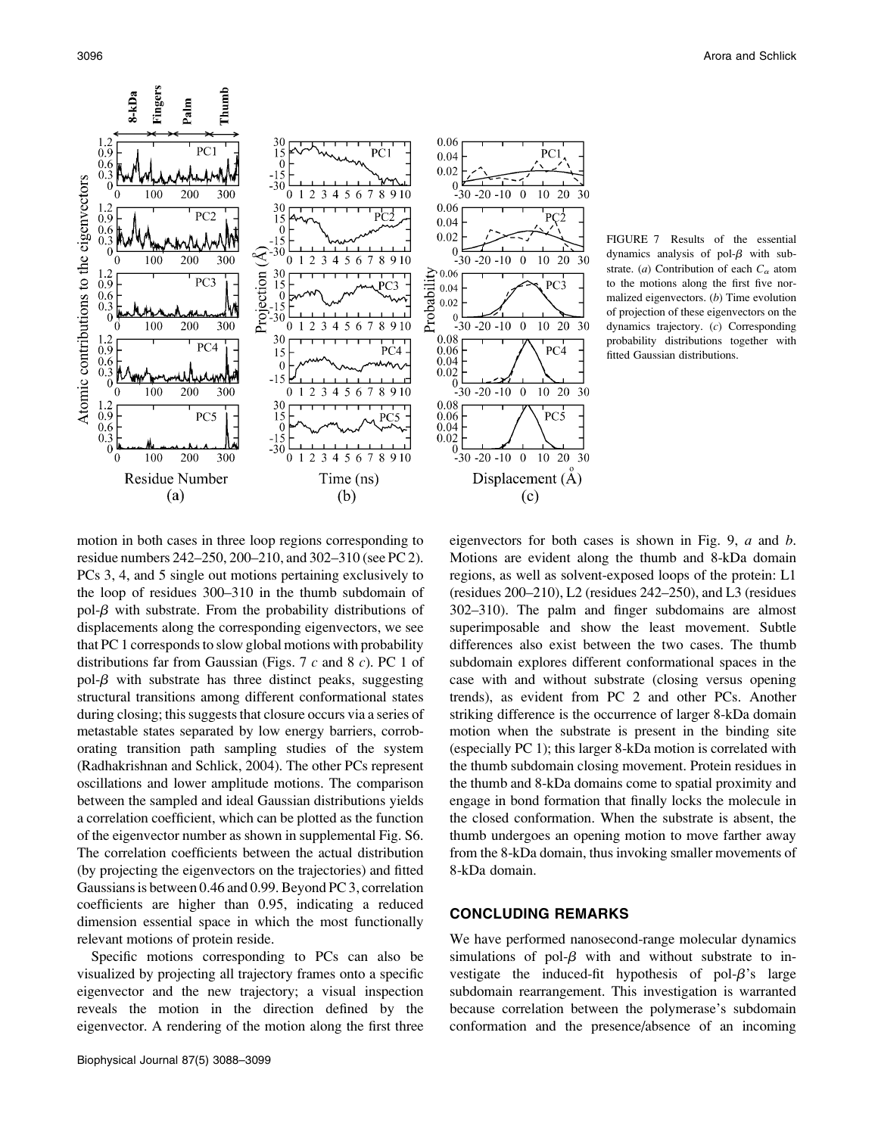

FIGURE 7 Results of the essential dynamics analysis of pol- $\beta$  with substrate. (a) Contribution of each  $C_{\alpha}$  atom to the motions along the first five normalized eigenvectors. (b) Time evolution of projection of these eigenvectors on the dynamics trajectory. (c) Corresponding probability distributions together with fitted Gaussian distributions.

motion in both cases in three loop regions corresponding to residue numbers 242–250, 200–210, and 302–310 (see PC 2). PCs 3, 4, and 5 single out motions pertaining exclusively to the loop of residues 300–310 in the thumb subdomain of pol- $\beta$  with substrate. From the probability distributions of displacements along the corresponding eigenvectors, we see that PC 1 corresponds to slow global motions with probability distributions far from Gaussian (Figs. 7  $c$  and 8  $c$ ). PC 1 of pol- $\beta$  with substrate has three distinct peaks, suggesting structural transitions among different conformational states during closing; this suggests that closure occurs via a series of metastable states separated by low energy barriers, corroborating transition path sampling studies of the system (Radhakrishnan and Schlick, 2004). The other PCs represent oscillations and lower amplitude motions. The comparison between the sampled and ideal Gaussian distributions yields a correlation coefficient, which can be plotted as the function of the eigenvector number as shown in supplemental Fig. S6. The correlation coefficients between the actual distribution (by projecting the eigenvectors on the trajectories) and fitted Gaussians is between 0.46 and 0.99. Beyond PC 3, correlation coefficients are higher than 0.95, indicating a reduced dimension essential space in which the most functionally relevant motions of protein reside.

Specific motions corresponding to PCs can also be visualized by projecting all trajectory frames onto a specific eigenvector and the new trajectory; a visual inspection reveals the motion in the direction defined by the eigenvector. A rendering of the motion along the first three eigenvectors for both cases is shown in Fig. 9,  $a$  and  $b$ . Motions are evident along the thumb and 8-kDa domain regions, as well as solvent-exposed loops of the protein: L1 (residues 200–210), L2 (residues 242–250), and L3 (residues 302–310). The palm and finger subdomains are almost superimposable and show the least movement. Subtle differences also exist between the two cases. The thumb subdomain explores different conformational spaces in the case with and without substrate (closing versus opening trends), as evident from PC 2 and other PCs. Another striking difference is the occurrence of larger 8-kDa domain motion when the substrate is present in the binding site (especially PC 1); this larger 8-kDa motion is correlated with the thumb subdomain closing movement. Protein residues in the thumb and 8-kDa domains come to spatial proximity and engage in bond formation that finally locks the molecule in the closed conformation. When the substrate is absent, the thumb undergoes an opening motion to move farther away from the 8-kDa domain, thus invoking smaller movements of 8-kDa domain.

## CONCLUDING REMARKS

We have performed nanosecond-range molecular dynamics simulations of pol- $\beta$  with and without substrate to investigate the induced-fit hypothesis of pol- $\beta$ 's large subdomain rearrangement. This investigation is warranted because correlation between the polymerase's subdomain conformation and the presence/absence of an incoming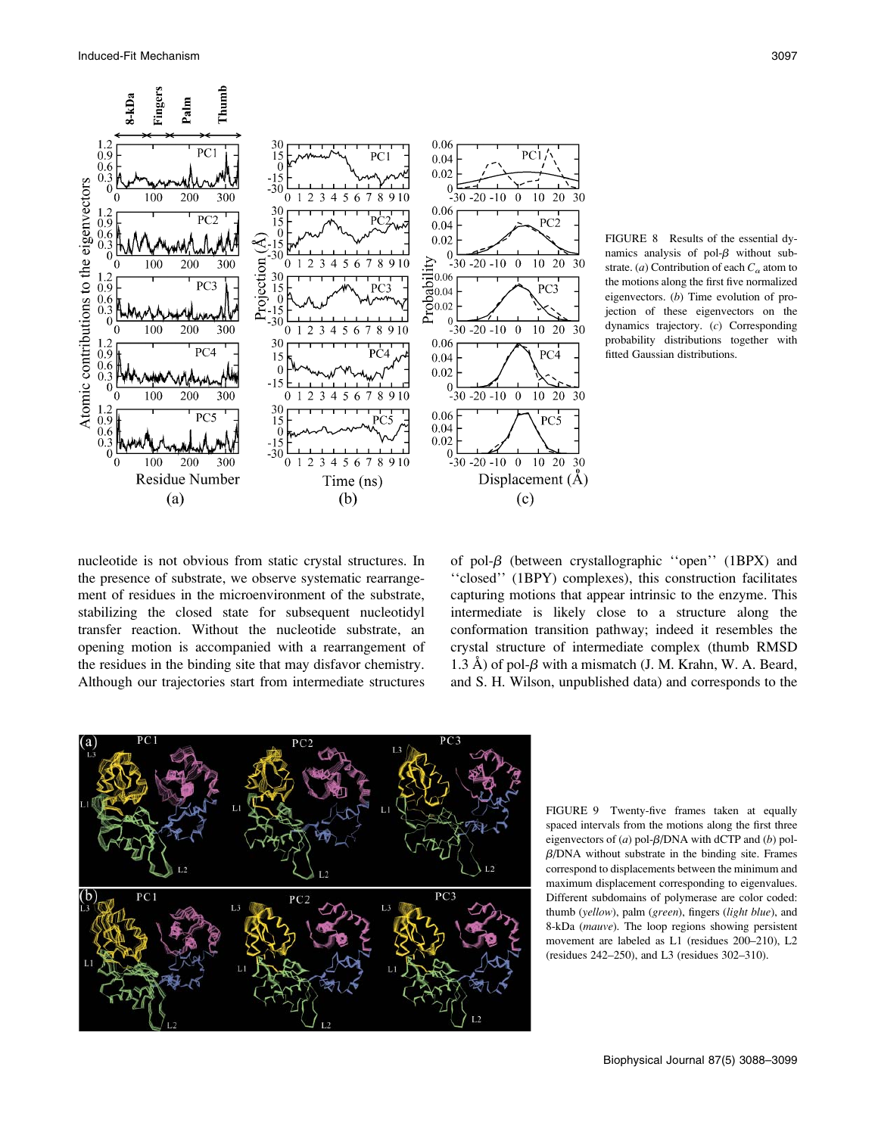

FIGURE 8 Results of the essential dynamics analysis of pol- $\beta$  without substrate. (a) Contribution of each  $C_{\alpha}$  atom to the motions along the first five normalized eigenvectors. (b) Time evolution of projection of these eigenvectors on the dynamics trajectory. (c) Corresponding probability distributions together with fitted Gaussian distributions.

nucleotide is not obvious from static crystal structures. In the presence of substrate, we observe systematic rearrangement of residues in the microenvironment of the substrate, stabilizing the closed state for subsequent nucleotidyl transfer reaction. Without the nucleotide substrate, an opening motion is accompanied with a rearrangement of the residues in the binding site that may disfavor chemistry. Although our trajectories start from intermediate structures of pol- $\beta$  (between crystallographic "open" (1BPX) and ''closed'' (1BPY) complexes), this construction facilitates capturing motions that appear intrinsic to the enzyme. This intermediate is likely close to a structure along the conformation transition pathway; indeed it resembles the crystal structure of intermediate complex (thumb RMSD 1.3 Å) of pol- $\beta$  with a mismatch (J. M. Krahn, W. A. Beard, and S. H. Wilson, unpublished data) and corresponds to the



FIGURE 9 Twenty-five frames taken at equally spaced intervals from the motions along the first three eigenvectors of (a) pol- $\beta$ /DNA with dCTP and (b) pol- $\beta$ /DNA without substrate in the binding site. Frames correspond to displacements between the minimum and maximum displacement corresponding to eigenvalues. Different subdomains of polymerase are color coded: thumb (yellow), palm (green), fingers (light blue), and 8-kDa (mauve). The loop regions showing persistent movement are labeled as L1 (residues 200–210), L2 (residues 242–250), and L3 (residues 302–310).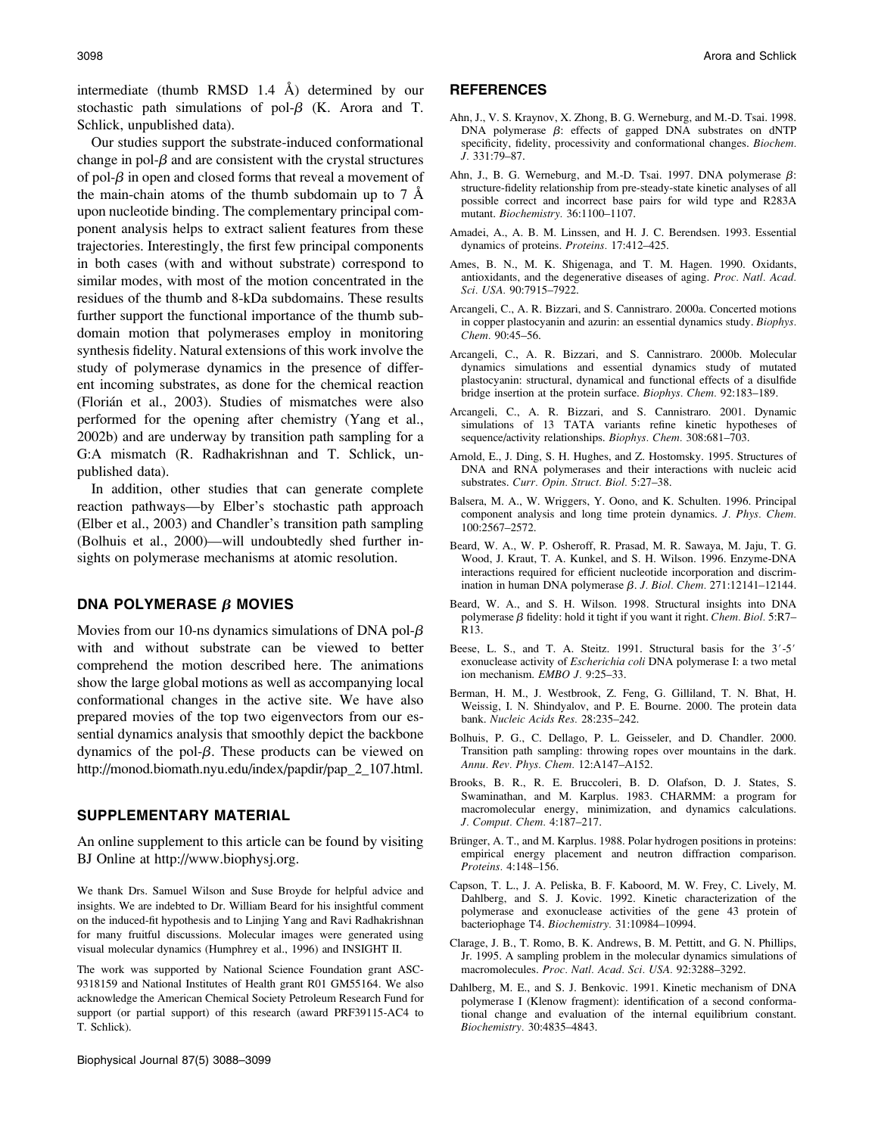intermediate (thumb RMSD 1.4  $\AA$ ) determined by our stochastic path simulations of pol- $\beta$  (K. Arora and T. Schlick, unpublished data).

Our studies support the substrate-induced conformational change in pol- $\beta$  and are consistent with the crystal structures of pol- $\beta$  in open and closed forms that reveal a movement of the main-chain atoms of the thumb subdomain up to 7 Å upon nucleotide binding. The complementary principal component analysis helps to extract salient features from these trajectories. Interestingly, the first few principal components in both cases (with and without substrate) correspond to similar modes, with most of the motion concentrated in the residues of the thumb and 8-kDa subdomains. These results further support the functional importance of the thumb subdomain motion that polymerases employ in monitoring synthesis fidelity. Natural extensions of this work involve the study of polymerase dynamics in the presence of different incoming substrates, as done for the chemical reaction (Floria´n et al., 2003). Studies of mismatches were also performed for the opening after chemistry (Yang et al., 2002b) and are underway by transition path sampling for a G:A mismatch (R. Radhakrishnan and T. Schlick, unpublished data).

In addition, other studies that can generate complete reaction pathways—by Elber's stochastic path approach (Elber et al., 2003) and Chandler's transition path sampling (Bolhuis et al., 2000)—will undoubtedly shed further insights on polymerase mechanisms at atomic resolution.

## DNA POLYMERASE  $\beta$  MOVIES

Movies from our 10-ns dynamics simulations of DNA pol- $\beta$ with and without substrate can be viewed to better comprehend the motion described here. The animations show the large global motions as well as accompanying local conformational changes in the active site. We have also prepared movies of the top two eigenvectors from our essential dynamics analysis that smoothly depict the backbone dynamics of the pol- $\beta$ . These products can be viewed on http://monod.biomath.nyu.edu/index/papdir/pap\_2\_107.html.

## SUPPLEMENTARY MATERIAL

An online supplement to this article can be found by visiting BJ Online at http://www.biophysj.org.

We thank Drs. Samuel Wilson and Suse Broyde for helpful advice and insights. We are indebted to Dr. William Beard for his insightful comment on the induced-fit hypothesis and to Linjing Yang and Ravi Radhakrishnan for many fruitful discussions. Molecular images were generated using visual molecular dynamics (Humphrey et al., 1996) and INSIGHT II.

The work was supported by National Science Foundation grant ASC-9318159 and National Institutes of Health grant R01 GM55164. We also acknowledge the American Chemical Society Petroleum Research Fund for support (or partial support) of this research (award PRF39115-AC4 to T. Schlick).

#### **REFERENCES**

- Ahn, J., V. S. Kraynov, X. Zhong, B. G. Werneburg, and M.-D. Tsai. 1998. DNA polymerase  $\beta$ : effects of gapped DNA substrates on dNTP specificity, fidelity, processivity and conformational changes. Biochem. J. 331:79–87.
- Ahn, J., B. G. Werneburg, and M.-D. Tsai. 1997. DNA polymerase  $\beta$ : structure-fidelity relationship from pre-steady-state kinetic analyses of all possible correct and incorrect base pairs for wild type and R283A mutant. Biochemistry. 36:1100–1107.
- Amadei, A., A. B. M. Linssen, and H. J. C. Berendsen. 1993. Essential dynamics of proteins. Proteins. 17:412–425.
- Ames, B. N., M. K. Shigenaga, and T. M. Hagen. 1990. Oxidants, antioxidants, and the degenerative diseases of aging. Proc. Natl. Acad. Sci. USA. 90:7915–7922.
- Arcangeli, C., A. R. Bizzari, and S. Cannistraro. 2000a. Concerted motions in copper plastocyanin and azurin: an essential dynamics study. Biophys. Chem. 90:45–56.
- Arcangeli, C., A. R. Bizzari, and S. Cannistraro. 2000b. Molecular dynamics simulations and essential dynamics study of mutated plastocyanin: structural, dynamical and functional effects of a disulfide bridge insertion at the protein surface. Biophys. Chem. 92:183–189.
- Arcangeli, C., A. R. Bizzari, and S. Cannistraro. 2001. Dynamic simulations of 13 TATA variants refine kinetic hypotheses of sequence/activity relationships. Biophys. Chem. 308:681–703.
- Arnold, E., J. Ding, S. H. Hughes, and Z. Hostomsky. 1995. Structures of DNA and RNA polymerases and their interactions with nucleic acid substrates. Curr. Opin. Struct. Biol. 5:27–38.
- Balsera, M. A., W. Wriggers, Y. Oono, and K. Schulten. 1996. Principal component analysis and long time protein dynamics. J. Phys. Chem. 100:2567–2572.
- Beard, W. A., W. P. Osheroff, R. Prasad, M. R. Sawaya, M. Jaju, T. G. Wood, J. Kraut, T. A. Kunkel, and S. H. Wilson. 1996. Enzyme-DNA interactions required for efficient nucleotide incorporation and discrimination in human DNA polymerase  $\beta$ . J. Biol. Chem. 271:12141-12144.
- Beard, W. A., and S. H. Wilson. 1998. Structural insights into DNA polymerase  $\beta$  fidelity: hold it tight if you want it right. Chem. Biol. 5:R7– R13.
- Beese, L. S., and T. A. Steitz. 1991. Structural basis for the  $3'-5'$ exonuclease activity of Escherichia coli DNA polymerase I: a two metal ion mechanism. EMBO J. 9:25–33.
- Berman, H. M., J. Westbrook, Z. Feng, G. Gilliland, T. N. Bhat, H. Weissig, I. N. Shindyalov, and P. E. Bourne. 2000. The protein data bank. Nucleic Acids Res. 28:235–242.
- Bolhuis, P. G., C. Dellago, P. L. Geisseler, and D. Chandler. 2000. Transition path sampling: throwing ropes over mountains in the dark. Annu. Rev. Phys. Chem. 12:A147–A152.
- Brooks, B. R., R. E. Bruccoleri, B. D. Olafson, D. J. States, S. Swaminathan, and M. Karplus. 1983. CHARMM: a program for macromolecular energy, minimization, and dynamics calculations. J. Comput. Chem. 4:187–217.
- Brünger, A. T., and M. Karplus. 1988. Polar hydrogen positions in proteins: empirical energy placement and neutron diffraction comparison. Proteins. 4:148–156.
- Capson, T. L., J. A. Peliska, B. F. Kaboord, M. W. Frey, C. Lively, M. Dahlberg, and S. J. Kovic. 1992. Kinetic characterization of the polymerase and exonuclease activities of the gene 43 protein of bacteriophage T4. Biochemistry. 31:10984–10994.
- Clarage, J. B., T. Romo, B. K. Andrews, B. M. Pettitt, and G. N. Phillips, Jr. 1995. A sampling problem in the molecular dynamics simulations of macromolecules. Proc. Natl. Acad. Sci. USA. 92:3288–3292.
- Dahlberg, M. E., and S. J. Benkovic. 1991. Kinetic mechanism of DNA polymerase I (Klenow fragment): identification of a second conformational change and evaluation of the internal equilibrium constant. Biochemistry. 30:4835–4843.